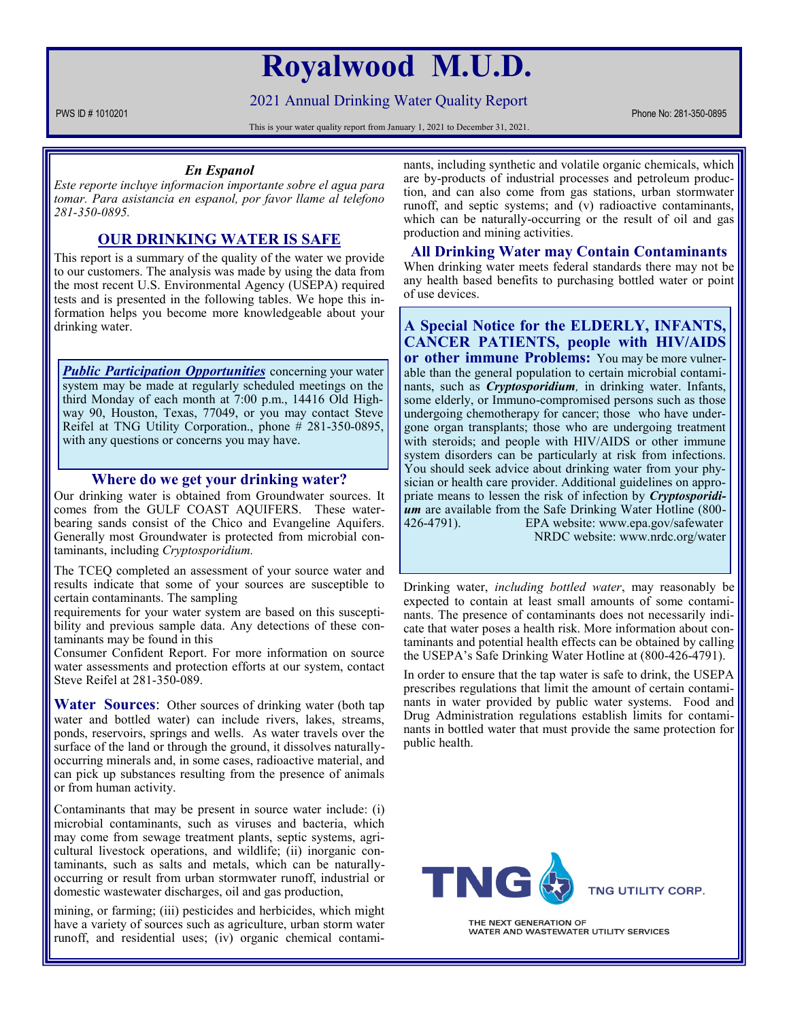# **Royalwood M.U.D.**

2021 Annual Drinking Water Quality Report

PWS ID # 1010201 Phone No: 281-350-0895

This is your water quality report from January 1, 2021 to December 31, 2021.

### *En Espanol*

*Este reporte incluye informacion importante sobre el agua para tomar. Para asistancia en espanol, por favor llame al telefono 281-350-0895.*

### **OUR DRINKING WATER IS SAFE**

This report is a summary of the quality of the water we provide to our customers. The analysis was made by using the data from the most recent U.S. Environmental Agency (USEPA) required tests and is presented in the following tables. We hope this information helps you become more knowledgeable about your drinking water.

**Public Participation Opportunities** concerning your water system may be made at regularly scheduled meetings on the third Monday of each month at 7:00 p.m., 14416 Old Highway 90, Houston, Texas, 77049, or you may contact Steve Reifel at TNG Utility Corporation., phone # 281-350-0895, with any questions or concerns you may have.

### **Where do we get your drinking water?**

Our drinking water is obtained from Groundwater sources. It comes from the GULF COAST AQUIFERS. These waterbearing sands consist of the Chico and Evangeline Aquifers. Generally most Groundwater is protected from microbial contaminants, including *Cryptosporidium.*

The TCEQ completed an assessment of your source water and results indicate that some of your sources are susceptible to certain contaminants. The sampling

requirements for your water system are based on this susceptibility and previous sample data. Any detections of these contaminants may be found in this

Consumer Confident Report. For more information on source water assessments and protection efforts at our system, contact Steve Reifel at 281-350-089.

**Water Sources**: Other sources of drinking water (both tap water and bottled water) can include rivers, lakes, streams, ponds, reservoirs, springs and wells. As water travels over the surface of the land or through the ground, it dissolves naturallyoccurring minerals and, in some cases, radioactive material, and can pick up substances resulting from the presence of animals or from human activity.

Contaminants that may be present in source water include: (i) microbial contaminants, such as viruses and bacteria, which may come from sewage treatment plants, septic systems, agricultural livestock operations, and wildlife; (ii) inorganic contaminants, such as salts and metals, which can be naturallyoccurring or result from urban stormwater runoff, industrial or domestic wastewater discharges, oil and gas production,

mining, or farming; (iii) pesticides and herbicides, which might have a variety of sources such as agriculture, urban storm water runoff, and residential uses; (iv) organic chemical contaminants, including synthetic and volatile organic chemicals, which are by-products of industrial processes and petroleum production, and can also come from gas stations, urban stormwater runoff, and septic systems; and (v) radioactive contaminants, which can be naturally-occurring or the result of oil and gas production and mining activities.

**All Drinking Water may Contain Contaminants** When drinking water meets federal standards there may not be any health based benefits to purchasing bottled water or point of use devices.

**A Special Notice for the ELDERLY, INFANTS, CANCER PATIENTS, people with HIV/AIDS or other immune Problems:** You may be more vulnerable than the general population to certain microbial contaminants, such as *Cryptosporidium,* in drinking water. Infants, some elderly, or Immuno-compromised persons such as those undergoing chemotherapy for cancer; those who have undergone organ transplants; those who are undergoing treatment with steroids; and people with HIV/AIDS or other immune system disorders can be particularly at risk from infections. You should seek advice about drinking water from your physician or health care provider. Additional guidelines on appropriate means to lessen the risk of infection by *Cryptosporidium* are available from the Safe Drinking Water Hotline (800- 426-4791). EPA website: www.epa.gov/safewater NRDC website: www.nrdc.org/water

Drinking water, *including bottled water*, may reasonably be expected to contain at least small amounts of some contaminants. The presence of contaminants does not necessarily indicate that water poses a health risk. More information about contaminants and potential health effects can be obtained by calling the USEPA's Safe Drinking Water Hotline at (800-426-4791).

In order to ensure that the tap water is safe to drink, the USEPA prescribes regulations that limit the amount of certain contaminants in water provided by public water systems. Food and Drug Administration regulations establish limits for contaminants in bottled water that must provide the same protection for public health.



THE NEXT GENERATION OF WATER AND WASTEWATER UTILITY SERVICES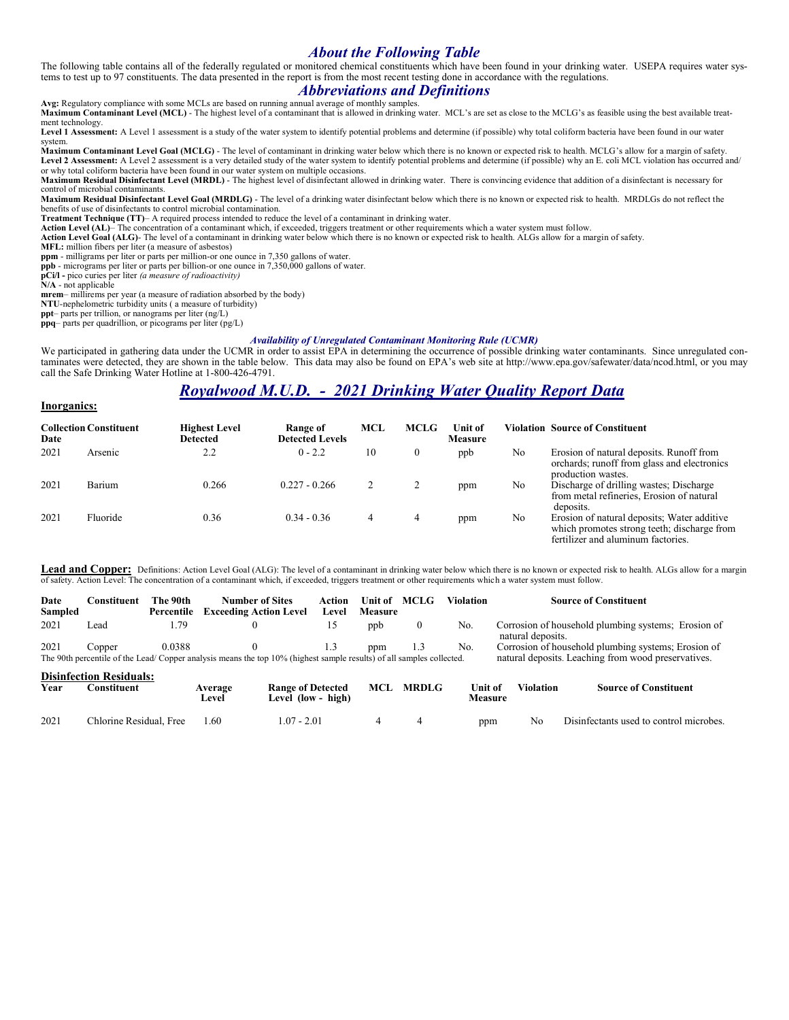# *About the Following Table*

The following table contains all of the federally regulated or monitored chemical constituents which have been found in your drinking water. USEPA requires water systems to test up to 97 constituents. The data presented in the report is from the most recent testing done in accordance with the regulations.

# *Abbreviations and Definitions*

**Avg:** Regulatory compliance with some MCLs are based on running annual average of monthly samples. **Maximum Contaminant Level (MCL)** - The highest level of a contaminant that is allowed in drinking water. MCL's are set as close to the MCLG's as feasible using the best available treat-<br>Maximum Contaminant Level (MCL) - T ment technology.

**Level 1 Assessment:** A Level 1 assessment is a study of the water system to identify potential problems and determine (if possible) why total coliform bacteria have been found in our water system.

**Maximum Contaminant Level Goal (MCLG)** - The level of contaminant in drinking water below which there is no known or expected risk to health. MCLG's allow for a margin of safety. Level 2 Assessment: A Level 2 assessment is a very detailed study of the water system to identify potential problems and determine (if possible) why an E. coli MCL violation has occurred and/<br>or why total coliform bacteria

Maximum Residual Disinfectant Level (MRDL) - The highest level of disinfectant allowed in drinking water. There is convincing evidence that addition of a disinfectant is necessary for control of microbial contaminants.

**Maximum Residual Disinfectant Level Goal (MRDLG)** - The level of a drinking water disinfectant below which there is no known or expected risk to health. MRDLGs do not reflect the benefits of use of disinfectants to control microbial contamination.

**Treatment Technique (TT)**– A required process intended to reduce the level of a contaminant in drinking water.

**Action Level (AL)**– The concentration of a contaminant which, if exceeded, triggers treatment or other requirements which a water system must follow.

**Action Level Goal (ALG)**- The level of a contaminant in drinking water below which there is no known or expected risk to health. ALGs allow for a margin of safety.

**MFL:** million fibers per liter (a measure of asbestos)

**ppm** - milligrams per liter or parts per million-or one ounce in 7,350 gallons of water. **ppb** - micrograms per liter or parts per billion-or one ounce in 7,350,000 gallons of water.

**pCi/l -** pico curies per liter *(a measure of radioactivity)* 

**N/A** - not applicable

**mrem**– millirems per year (a measure of radiation absorbed by the body)

**NTU**-nephelometric turbidity units ( a measure of turbidity)

**ppt**– parts per trillion, or nanograms per liter (ng/L) **ppq**– parts per quadrillion, or picograms per liter (pg/L)

#### *Availability of Unregulated Contaminant Monitoring Rule (UCMR)*

We participated in gathering data under the UCMR in order to assist EPA in determining the occurrence of possible drinking water contaminants. Since unregulated contaminates were detected, they are shown in the table below. This data may also be found on EPA's web site at http://www.epa.gov/safewater/data/ncod.html, or you may call the Safe Drinking Water Hotline at 1-800-426-4791.

# *Royalwood M.U.D. - 2021 Drinking Water Quality Report Data*

#### **Inorganics:**

| Date | <b>Collection Constituent</b> | <b>Highest Level</b><br><b>Detected</b> | Range of<br><b>Detected Levels</b> | MCL | <b>MCLG</b> | ∐nit of<br><b>Measure</b> |    | <b>Violation Source of Constituent</b>                                                                                           |
|------|-------------------------------|-----------------------------------------|------------------------------------|-----|-------------|---------------------------|----|----------------------------------------------------------------------------------------------------------------------------------|
| 2021 | Arsenic                       | 2.2                                     | $0 - 2.2$                          | 10  | $\theta$    | ppb                       | No | Erosion of natural deposits. Runoff from<br>orchards; runoff from glass and electronics<br>production wastes.                    |
| 2021 | Barium                        | 0.266                                   | $0.227 - 0.266$                    |     | 2           | ppm                       | No | Discharge of drilling wastes; Discharge<br>from metal refineries, Erosion of natural<br>deposits.                                |
| 2021 | Fluoride                      | 0.36                                    | $0.34 - 0.36$                      | 4   | 4           | ppm                       | No | Erosion of natural deposits; Water additive<br>which promotes strong teeth; discharge from<br>fertilizer and aluminum factories. |

**Lead and Copper:** Definitions: Action Level Goal (ALG): The level of a contaminant in drinking water below which there is no known or expected risk to health. ALGs allow for a margin of safety. Action Level: The concentration of a contaminant which, if exceeded, triggers treatment or other requirements which a water system must follow.

| Date<br>Sampled | Constituent                    | The 90th<br>Percentile | <b>Number of Sites</b><br><b>Exceeding Action Level</b>                                                              | Action<br>Level | Unit of<br><b>Measure</b> | MCLG | Violation | <b>Source of Constituent</b>                                                                               |  |
|-----------------|--------------------------------|------------------------|----------------------------------------------------------------------------------------------------------------------|-----------------|---------------------------|------|-----------|------------------------------------------------------------------------------------------------------------|--|
| 2021            | Lead                           | 1.79                   |                                                                                                                      |                 | ppb                       |      | No.       | Corrosion of household plumbing systems; Erosion of<br>natural deposits.                                   |  |
| 2021            | Copper                         | 0.0388                 | The 90th percentile of the Lead/Copper analysis means the top 10% (highest sample results) of all samples collected. |                 | ppm                       |      | No.       | Corrosion of household plumbing systems; Erosion of<br>natural deposits. Leaching from wood preservatives. |  |
|                 | <b>Disinfection Residuals:</b> |                        |                                                                                                                      |                 |                           |      |           |                                                                                                            |  |

| Year | `onstituent_            | Average<br>Level | <b>Range of Detected</b><br>Level (low - high) | MCL | <b>MRDLG</b> | Unit of<br>Measure | <b>Violation</b> | <b>Source of Constituent</b>            |
|------|-------------------------|------------------|------------------------------------------------|-----|--------------|--------------------|------------------|-----------------------------------------|
| 2021 | Chlorine Residual. Free | l.60             | $.07 - 2.01$                                   |     |              | ppm                | No               | Disinfectants used to control microbes. |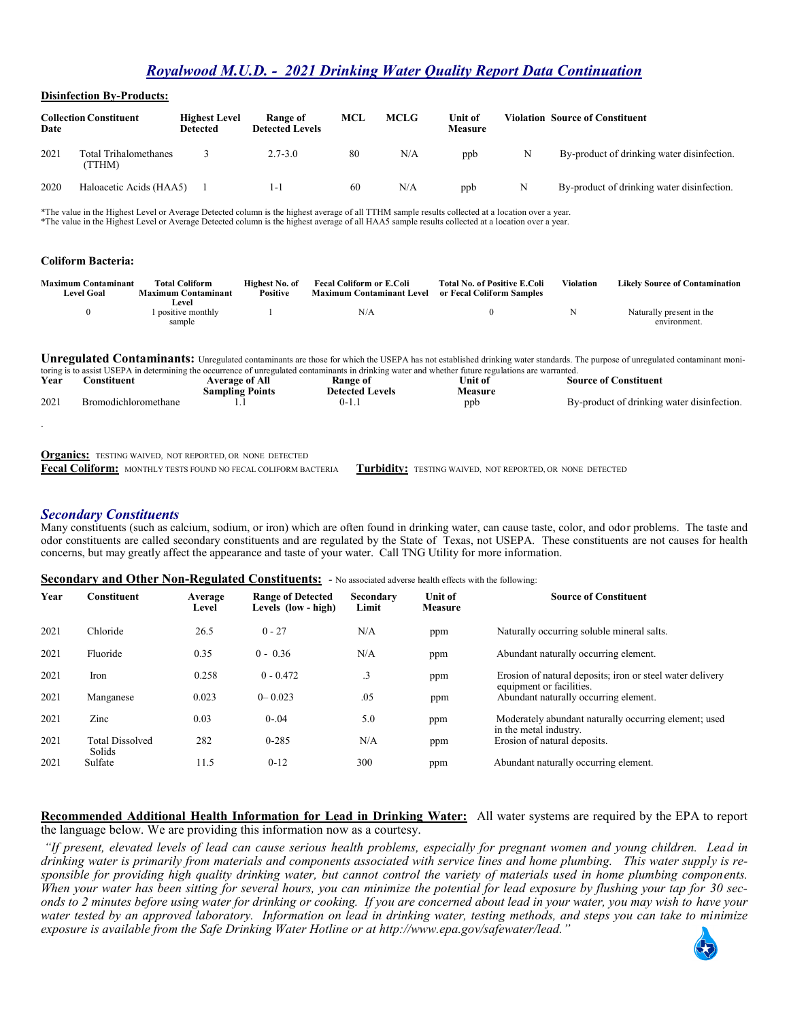# *Royalwood M.U.D. - 2021 Drinking Water Quality Report Data Continuation*

#### **Disinfection By-Products:**

| Date | <b>Collection Constituent</b>  | <b>Highest Level</b><br>Detected | Range of<br><b>Detected Levels</b> | MCL | <b>MCLG</b> | Unit of<br>Measure |   | <b>Violation Source of Constituent</b>     |
|------|--------------------------------|----------------------------------|------------------------------------|-----|-------------|--------------------|---|--------------------------------------------|
| 2021 | Total Trihalomethanes<br>TTHM) |                                  | $2.7 - 3.0$                        | 80  | N/A         | ppb                | N | By-product of drinking water disinfection. |
| 2020 | Haloacetic Acids (HAA5)        |                                  |                                    | 60  | N/A         | ppb                |   | By-product of drinking water disinfection. |

\*The value in the Highest Level or Average Detected column is the highest average of all TTHM sample results collected at a location over a year. \*The value in the Highest Level or Average Detected column is the highest average of all HAA5 sample results collected at a location over a year.

#### **Coliform Bacteria:**

.

| <b>Maximum Contaminant</b><br><b>Level Goal</b> | <b>Total Coliform</b><br><b>Maximum Contaminant</b> | Highest No. of<br><b>Positive</b> | <b>Fecal Coliform or E.Coli</b><br><b>Maximum Contaminant Level</b> | <b>Total No. of Positive E.Coli</b><br>or Fecal Coliform Samples | Violation | <b>Likely Source of Contamination</b> |
|-------------------------------------------------|-----------------------------------------------------|-----------------------------------|---------------------------------------------------------------------|------------------------------------------------------------------|-----------|---------------------------------------|
|                                                 | Level                                               |                                   |                                                                     |                                                                  |           |                                       |
|                                                 | l positive monthly                                  |                                   | N/A                                                                 |                                                                  |           | Naturally present in the              |
|                                                 | sample                                              |                                   |                                                                     |                                                                  |           | environment.                          |

**Unregulated Contaminants:** Unregulated contaminants are those for which the USEPA has not established drinking water standards. The purpose of unregulated contaminant monitoring is to assist USEPA in determining the occurrence of unregulated contaminants in drinking water and whether future regulations are warranted.

| Year | `onstituen*          | Average of                         | Kange of             | ∃nit of | Source of Constituent                      |
|------|----------------------|------------------------------------|----------------------|---------|--------------------------------------------|
|      |                      | $\mathbf{r}$<br>sampling<br>Points | .evels<br>Netected L | leasure |                                            |
| 2021 | Kromodichloromethane |                                    | U-1.                 | ppt     | By-product of drinking water disinfection. |

**Organics:** TESTING WAIVED, NOT REPORTED, OR NONE DETECTED

**Fecal Coliform:** MONTHLY TESTS FOUND NO FECAL COLIFORM BACTERIA **Turbidity:** TESTING WAIVED, NOT REPORTED, OR NONE DETECTED

### *Secondary Constituents*

Many constituents (such as calcium, sodium, or iron) which are often found in drinking water, can cause taste, color, and odor problems. The taste and odor constituents are called secondary constituents and are regulated by the State of Texas, not USEPA. These constituents are not causes for health concerns, but may greatly affect the appearance and taste of your water. Call TNG Utility for more information.

#### **Secondary and Other Non-Regulated Constituents:** *-* No associated adverse health effects with the following:

| Year | <b>Constituent</b>               | Average<br>Level | <b>Range of Detected</b><br>Levels (low - high) | Secondary<br>Limit | Unit of<br><b>Measure</b> | <b>Source of Constituent</b>                                                          |
|------|----------------------------------|------------------|-------------------------------------------------|--------------------|---------------------------|---------------------------------------------------------------------------------------|
| 2021 | Chloride                         | 26.5             | $0 - 27$                                        | N/A                | ppm                       | Naturally occurring soluble mineral salts.                                            |
| 2021 | Fluoride                         | 0.35             | $0 - 0.36$                                      | N/A                | ppm                       | Abundant naturally occurring element.                                                 |
| 2021 | Iron                             | 0.258            | $0 - 0.472$                                     | $\cdot$ 3          | ppm                       | Erosion of natural deposits; iron or steel water delivery<br>equipment or facilities. |
| 2021 | Manganese                        | 0.023            | $0 - 0.023$                                     | .05                | ppm                       | Abundant naturally occurring element.                                                 |
| 2021 | Zinc                             | 0.03             | $0 - 04$                                        | 5.0                | ppm                       | Moderately abundant naturally occurring element; used<br>in the metal industry.       |
| 2021 | <b>Total Dissolved</b><br>Solids | 282              | $0 - 285$                                       | N/A                | ppm                       | Erosion of natural deposits.                                                          |
| 2021 | Sulfate                          | 11.5             | $0-12$                                          | 300                | ppm                       | Abundant naturally occurring element.                                                 |

### **Recommended Additional Health Information for Lead in Drinking Water:** All water systems are required by the EPA to report

the language below. We are providing this information now as a courtesy.

*"If present, elevated levels of lead can cause serious health problems, especially for pregnant women and young children. Lead in drinking water is primarily from materials and components associated with service lines and home plumbing. This water supply is responsible for providing high quality drinking water, but cannot control the variety of materials used in home plumbing components. When your water has been sitting for several hours, you can minimize the potential for lead exposure by flushing your tap for 30 seconds to 2 minutes before using water for drinking or cooking. If you are concerned about lead in your water, you may wish to have your water tested by an approved laboratory. Information on lead in drinking water, testing methods, and steps you can take to minimize exposure is available from the Safe Drinking Water Hotline or at http://www.epa.gov/safewater/lead."*